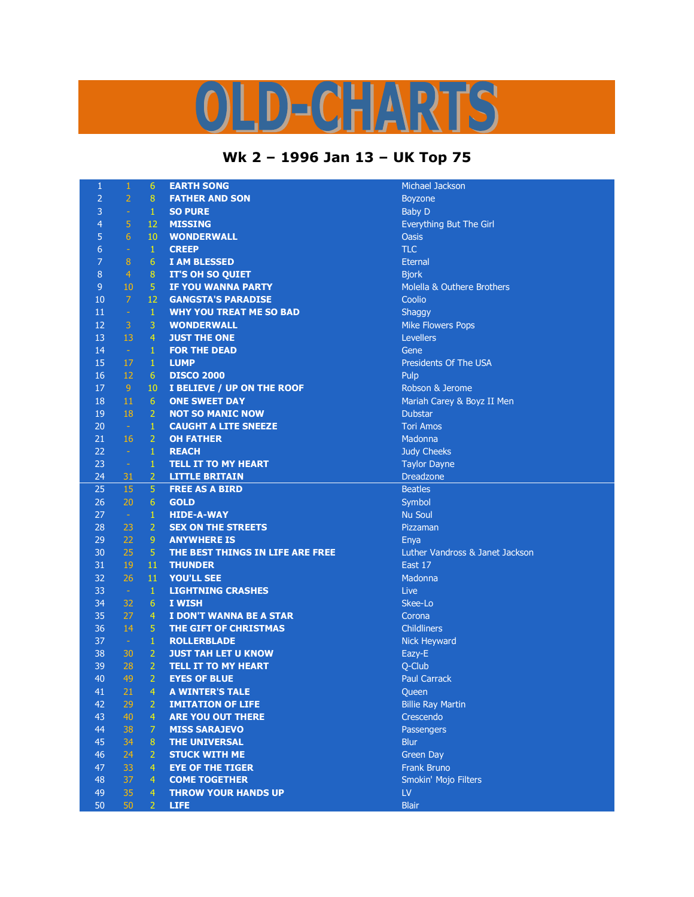## **CHARTS**

## **Wk 2 – 1996 Jan 13 – UK Top 75**

| $\mathbf{1}$     | $\mathbf{1}$   | 6               | <b>EARTH SONG</b>                | Michael J         |
|------------------|----------------|-----------------|----------------------------------|-------------------|
| $\overline{2}$   | $\overline{2}$ | $\overline{8}$  | <b>FATHER AND SON</b>            | Boyzone           |
| 3                | $\omega$       | $\mathbf{1}$    | <b>SO PURE</b>                   | <b>Baby D</b>     |
| $\overline{4}$   | 5              | 12              | <b>MISSING</b>                   | Everythin         |
| 5                | 6              | 10              | <b>WONDERWALL</b>                | <b>Oasis</b>      |
| $\boldsymbol{6}$ | $\equiv$       | $\mathbf{1}$    | <b>CREEP</b>                     | <b>TLC</b>        |
| $\overline{7}$   | $\bf 8$        | $\overline{6}$  | <b>I AM BLESSED</b>              | <b>Eternal</b>    |
| $\bf 8$          | $\overline{4}$ | $\bf 8$         | <b>IT'S OH SO QUIET</b>          | <b>Bjork</b>      |
| $\overline{9}$   | 10             | 5               | <b>IF YOU WANNA PARTY</b>        | Molella &         |
| 10               | $\overline{7}$ | 12              | <b>GANGSTA'S PARADISE</b>        | Coolio            |
| 11               | $\equiv$       | $\mathbf{1}$    | <b>WHY YOU TREAT ME SO BAD</b>   | Shaggy            |
| 12               | 3              | 3               | <b>WONDERWALL</b>                | <b>Mike Flov</b>  |
| 13               | 13             | $\overline{4}$  | <b>JUST THE ONE</b>              | <b>Levellers</b>  |
| 14               | $\omega$ .     | $\mathbf{1}$    | <b>FOR THE DEAD</b>              | Gene              |
| 15               | 17             | $\mathbf 1$     | <b>LUMP</b>                      | President         |
| 16               | 12             | $6\phantom{.}6$ | <b>DISCO 2000</b>                | Pulp              |
| 17               | 9 <sub>o</sub> | 10              | I BELIEVE / UP ON THE ROOF       | Robson 8          |
| 18               | 11             | $6\phantom{.}6$ | <b>ONE SWEET DAY</b>             | Mariah C          |
| 19               | 18             | $\overline{2}$  | <b>NOT SO MANIC NOW</b>          | <b>Dubstar</b>    |
| 20               | $\sim$         | $\mathbf{1}$    | <b>CAUGHT A LITE SNEEZE</b>      | <b>Tori Amo</b>   |
| 21               | 16             | $\overline{2}$  | <b>OH FATHER</b>                 | Madonna           |
| 22               | $\omega$       | $\mathbf{1}$    | <b>REACH</b>                     | <b>Judy Che</b>   |
| 23               | $\omega$       | $\mathbf 1$     | <b>TELL IT TO MY HEART</b>       | <b>Taylor Da</b>  |
| 24               | 31             | $\overline{2}$  | <b>LITTLE BRITAIN</b>            | <b>Dreadzor</b>   |
| 25               | 15             | 5               | <b>FREE AS A BIRD</b>            | <b>Beatles</b>    |
| 26               | 20             | $\overline{6}$  | <b>GOLD</b>                      | Symbol            |
| 27               | $\sim$         | $\mathbf{1}$    | <b>HIDE-A-WAY</b>                | <b>Nu Soul</b>    |
| 28               | 23             | $\overline{2}$  | <b>SEX ON THE STREETS</b>        | Pizzaman          |
| 29               | 22             | 9               | <b>ANYWHERE IS</b>               | Enya              |
| 30               | 25             | $\overline{5}$  | THE BEST THINGS IN LIFE ARE FREE | <b>Luther Va</b>  |
| 31               | 19             | 11              | <b>THUNDER</b>                   | East 17           |
| 32               | 26             | 11              | <b>YOU'LL SEE</b>                | Madonna           |
| 33               | $\sim$         | $\mathbf{1}$    | <b>LIGHTNING CRASHES</b>         | Live              |
| 34               | 32             | $\overline{6}$  | I WISH                           | Skee-Lo           |
| 35               | 27             | $\overline{4}$  | I DON'T WANNA BE A STAR          | Corona            |
| 36               | 14             | 5               | THE GIFT OF CHRISTMAS            | Childliner        |
| 37               | $\sim$         | $\mathbf 1$     | <b>ROLLERBLADE</b>               | Nick Hey          |
| 38               | 30             | $\overline{2}$  | <b>JUST TAH LET U KNOW</b>       | Eazy-E            |
| 39               | 28             | $\overline{2}$  | <b>TELL IT TO MY HEART</b>       | Q-Club            |
| 40               | 49             | $\overline{2}$  | <b>EYES OF BLUE</b>              | <b>Paul Carr</b>  |
| 41               | 21             | 4               | <b>A WINTER'S TALE</b>           | Queen             |
| 42               | 29             | $\overline{2}$  | <b>IMITATION OF LIFE</b>         | <b>Billie Ray</b> |
| 43               | 40             | $\overline{4}$  | <b>ARE YOU OUT THERE</b>         | Crescend          |
| 44               | 38             | 7               | <b>MISS SARAJEVO</b>             | Passenge          |
| 45               | 34             | $\bf 8$         | THE UNIVERSAL                    | <b>Blur</b>       |
| 46               | 24             | $\overline{2}$  | <b>STUCK WITH ME</b>             | Green Da          |
| 47               | 33             | 4               | <b>EYE OF THE TIGER</b>          | <b>Frank Bru</b>  |
| 48               | 37             | $\overline{4}$  | <b>COME TOGETHER</b>             | Smokin' I         |
| 49               | 35             | $\overline{4}$  | <b>THROW YOUR HANDS UP</b>       | LV.               |
| 50               | 50             | $\overline{2}$  | <b>LIFE</b>                      | <b>Blair</b>      |
|                  |                |                 |                                  |                   |

**Michael Jackson**  $Boyzone$ Everything But The Girl Molella & Outhere Brothers **Mike Flowers Pops Levellers** Presidents Of The USA Robson & Jerome Mariah Carey & Boyz II Men **Tori Amos Madonna Judy Cheeks Taylor Dayne Dreadzone** Pizzaman Luther Vandross & Janet Jackson 36 14 5 **THE GIFT OF CHRISTMAS** Childliners Nick Heyward<br>Eazy-E **Paul Carrack Billie Ray Martin** Crescendo Passengers **Green Day Frank Bruno** Smokin' Mojo Filters